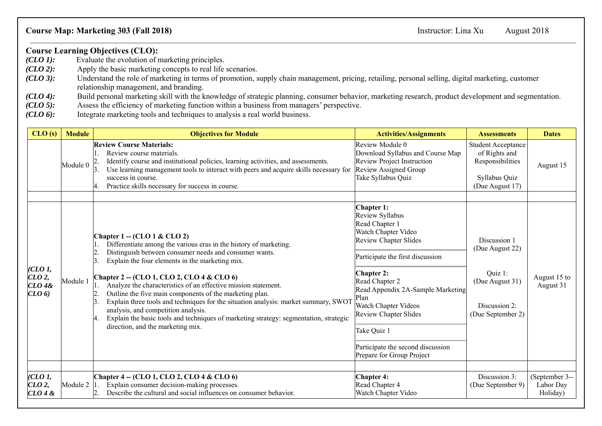## **Course Map: Marketing 303 (Fall 2018)** Instructor: Lina Xu August 2018

## **Course Learning Objectives (CLO):**<br>(CLO 1): Evaluate the evolution of r

- Evaluate the evolution of marketing principles.
- *(CLO 2):* Apply the basic marketing concepts to real life scenarios.
- *(CLO 3)*: Understand the role of marketing in terms of promotion, supply chain management, pricing, retailing, personal selling, digital marketing, customer relationship management, and branding.
- *(CLO 4):* Build personal marketing skill with the knowledge of strategic planning, consumer behavior, marketing research, product development and segmentation. *(CLO 5):* Assess the efficiency of marketing function within
- *(CLO 5):* Assess the efficiency of marketing function within a business from managers' perspective.<br>*(CLO 6):* Integrate marketing tools and techniques to analysis a real world business.
- Integrate marketing tools and techniques to analysis a real world business.

| CLO(s)                                           | <b>Module</b>        | <b>Objectives for Module</b>                                                                                                                                                                                                                                                                                                                                                                                                                                                                                                                                                                                                                                               | <b>Activities/Assignments</b>                                                                                                                                                                                                                                                                                                                                                  | <b>Assessments</b>                                                                                  | <b>Dates</b>                            |
|--------------------------------------------------|----------------------|----------------------------------------------------------------------------------------------------------------------------------------------------------------------------------------------------------------------------------------------------------------------------------------------------------------------------------------------------------------------------------------------------------------------------------------------------------------------------------------------------------------------------------------------------------------------------------------------------------------------------------------------------------------------------|--------------------------------------------------------------------------------------------------------------------------------------------------------------------------------------------------------------------------------------------------------------------------------------------------------------------------------------------------------------------------------|-----------------------------------------------------------------------------------------------------|-----------------------------------------|
|                                                  | Module 0             | <b>Review Course Materials:</b><br>Review course materials.<br>Identify course and institutional policies, learning activities, and assessments.<br>Use learning management tools to interact with peers and acquire skills necessary for<br>success in course.<br>Practice skills necessary for success in course.                                                                                                                                                                                                                                                                                                                                                        | Review Module 0<br>Download Syllabus and Course Map<br><b>Review Project Instruction</b><br>Review Assigned Group<br>Take Syllabus Quiz                                                                                                                                                                                                                                        | <b>Student Acceptance</b><br>of Rights and<br>Responsibilities<br>Syllabus Quiz<br>(Due August 17)  | August 15                               |
| CLO1,<br>CLO2,<br>$CLO$ 4&<br>(LO <sub>6</sub> ) | Module 1             | Chapter $1 - (CLO1 & CLO2)$<br>Differentiate among the various eras in the history of marketing.<br>Distinguish between consumer needs and consumer wants.<br>$\mathbf{2}$<br>Explain the four elements in the marketing mix.<br>Chapter 2 - (CLO 1, CLO 2, CLO 4 & CLO 6)<br>Analyze the characteristics of an effective mission statement.<br>Outline the five main components of the marketing plan.<br>Explain three tools and techniques for the situation analysis: market summary, SWOT<br>analysis, and competition analysis.<br>Explain the basic tools and techniques of marketing strategy: segmentation, strategic<br>Ι4.<br>direction, and the marketing mix. | <b>Chapter 1:</b><br>Review Syllabus<br>Read Chapter 1<br>Watch Chapter Video<br><b>Review Chapter Slides</b><br>Participate the first discussion<br><b>Chapter 2:</b><br>Read Chapter 2<br>Read Appendix 2A-Sample Marketing<br>Plan<br>Watch Chapter Videos<br><b>Review Chapter Slides</b><br>Take Quiz 1<br>Participate the second discussion<br>Prepare for Group Project | Discussion 1<br>(Due August 22)<br>Quiz 1:<br>(Due August 31)<br>Discussion 2:<br>(Due September 2) | August 15 to<br>August 31               |
| CLO1,<br>CLO2<br>CLO 4 &                         | Module $2 \vert 1$ . | Chapter 4 - (CLO 1, CLO 2, CLO 4 & CLO 6)<br>Explain consumer decision-making processes.<br>Describe the cultural and social influences on consumer behavior.                                                                                                                                                                                                                                                                                                                                                                                                                                                                                                              | <b>Chapter 4:</b><br>Read Chapter 4<br>Watch Chapter Video                                                                                                                                                                                                                                                                                                                     | Discussion 3:<br>(Due September 9)                                                                  | (September 3--<br>Labor Day<br>Holiday) |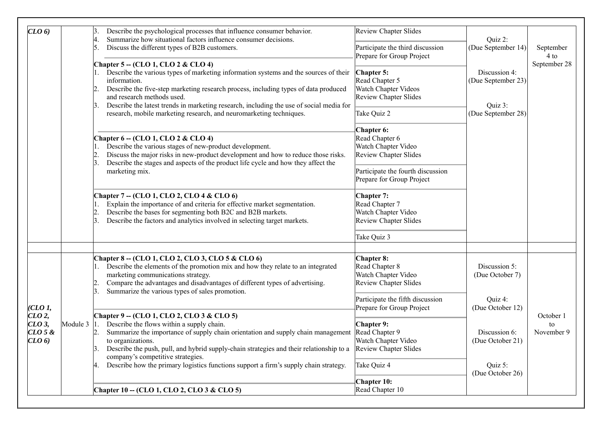| (LO <sub>6</sub> )                         |          | Describe the psychological processes that influence consumer behavior.<br>Summarize how situational factors influence consumer decisions.<br>4.<br>Discuss the different types of B2B customers.<br>5.<br>Chapter 5 -- (CLO 1, CLO 2 & CLO 4)<br>1. Describe the various types of marketing information systems and the sources of their<br>information.<br>Describe the five-step marketing research process, including types of data produced<br>2.<br>and research methods used.<br>Describe the latest trends in marketing research, including the use of social media for<br>3.<br>research, mobile marketing research, and neuromarketing techniques. | <b>Review Chapter Slides</b><br>Participate the third discussion                                                                                                                                                                                                                                    | Quiz 2:<br>(Due September 14)<br>Discussion 4:<br>(Due September 23)<br>Quiz 3:<br>(Due September 28) | September<br>4 to<br>September 28 |
|--------------------------------------------|----------|-------------------------------------------------------------------------------------------------------------------------------------------------------------------------------------------------------------------------------------------------------------------------------------------------------------------------------------------------------------------------------------------------------------------------------------------------------------------------------------------------------------------------------------------------------------------------------------------------------------------------------------------------------------|-----------------------------------------------------------------------------------------------------------------------------------------------------------------------------------------------------------------------------------------------------------------------------------------------------|-------------------------------------------------------------------------------------------------------|-----------------------------------|
|                                            |          |                                                                                                                                                                                                                                                                                                                                                                                                                                                                                                                                                                                                                                                             | Prepare for Group Project<br>Chapter 5:<br>Read Chapter 5<br>Watch Chapter Videos<br><b>Review Chapter Slides</b>                                                                                                                                                                                   |                                                                                                       |                                   |
|                                            |          |                                                                                                                                                                                                                                                                                                                                                                                                                                                                                                                                                                                                                                                             |                                                                                                                                                                                                                                                                                                     |                                                                                                       |                                   |
|                                            |          |                                                                                                                                                                                                                                                                                                                                                                                                                                                                                                                                                                                                                                                             | Chapter 6 -- (CLO 1, CLO 2 & CLO 4)<br>1. Describe the various stages of new-product development.<br>Discuss the major risks in new-product development and how to reduce those risks.<br>Describe the stages and aspects of the product life cycle and how they affect the<br>3.<br>marketing mix. |                                                                                                       |                                   |
|                                            |          | Chapter 7 - (CLO 1, CLO 2, CLO 4 & CLO 6)<br>Explain the importance of and criteria for effective market segmentation.<br>Describe the bases for segmenting both B2C and B2B markets.<br>Describe the factors and analytics involved in selecting target markets.                                                                                                                                                                                                                                                                                                                                                                                           | Chapter 7:<br>Read Chapter 7<br>Watch Chapter Video<br><b>Review Chapter Slides</b><br>Take Quiz 3                                                                                                                                                                                                  |                                                                                                       |                                   |
|                                            |          |                                                                                                                                                                                                                                                                                                                                                                                                                                                                                                                                                                                                                                                             |                                                                                                                                                                                                                                                                                                     | Chapter 8 - (CLO 1, CLO 2, CLO 3, CLO 5 & CLO 6)                                                      | Chapter 8:                        |
|                                            |          | 1. Describe the elements of the promotion mix and how they relate to an integrated<br>marketing communications strategy.<br>Compare the advantages and disadvantages of different types of advertising.                                                                                                                                                                                                                                                                                                                                                                                                                                                     | Read Chapter 8<br>Watch Chapter Video<br>Review Chapter Slides                                                                                                                                                                                                                                      | Discussion 5:<br>(Due October 7)                                                                      |                                   |
| CLO1,                                      | Module 3 | Summarize the various types of sales promotion.<br>3.                                                                                                                                                                                                                                                                                                                                                                                                                                                                                                                                                                                                       | Participate the fifth discussion<br>Prepare for Group Project                                                                                                                                                                                                                                       | Quiz 4:<br>(Due October 12)                                                                           |                                   |
| CLO2<br>$CLO$ 3,<br>$CLO$ 5 $\&$<br>(LO 6) |          | Chapter 9 - (CLO 1, CLO 2, CLO 3 & CLO 5)<br>Describe the flows within a supply chain.<br>Summarize the importance of supply chain orientation and supply chain management<br>to organizations.<br>Describe the push, pull, and hybrid supply-chain strategies and their relationship to a<br>company's competitive strategies.                                                                                                                                                                                                                                                                                                                             | Chapter 9:<br>Read Chapter 9<br>Watch Chapter Video<br><b>Review Chapter Slides</b>                                                                                                                                                                                                                 | Discussion 6:<br>(Due October 21)                                                                     | October 1<br>to<br>November 9     |
|                                            |          | Describe how the primary logistics functions support a firm's supply chain strategy.<br>4.                                                                                                                                                                                                                                                                                                                                                                                                                                                                                                                                                                  | Take Quiz 4                                                                                                                                                                                                                                                                                         | Quiz 5:<br>(Due October 26)                                                                           |                                   |
|                                            |          | Chapter 10 - (CLO 1, CLO 2, CLO 3 & CLO 5)                                                                                                                                                                                                                                                                                                                                                                                                                                                                                                                                                                                                                  | <b>Chapter 10:</b><br>Read Chapter 10                                                                                                                                                                                                                                                               |                                                                                                       |                                   |